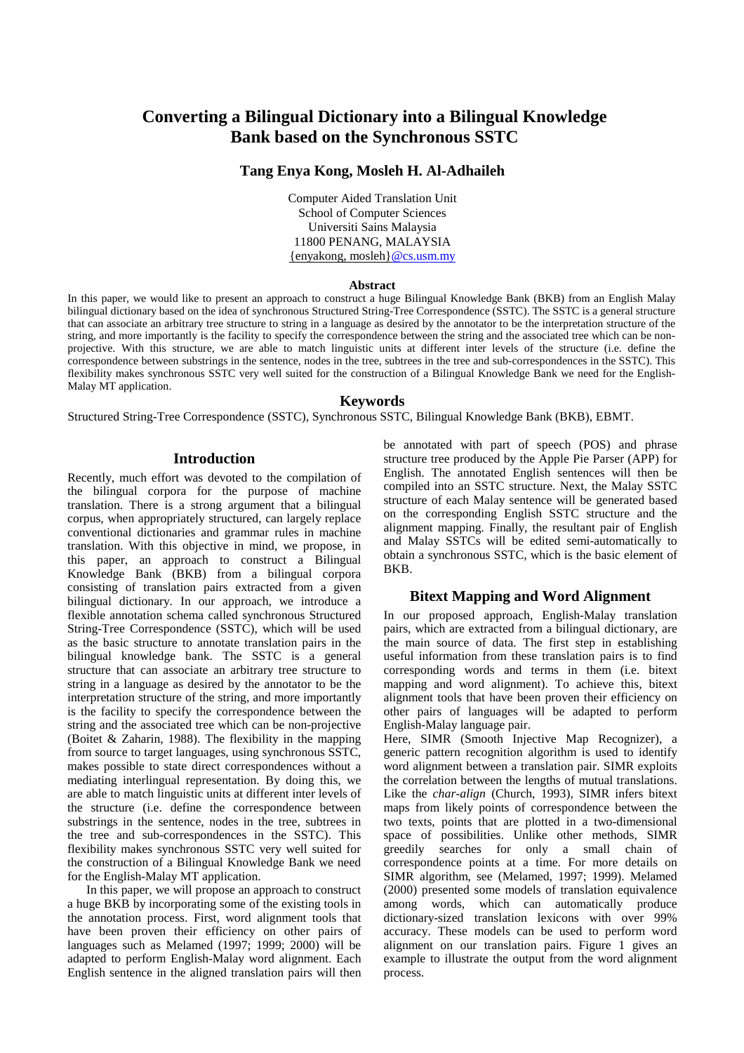# **Converting a Bilingual Dictionary into a Bilingual Knowledge Bank based on the Synchronous SSTC**

# **Tang Enya Kong, Mosleh H. Al-Adhaileh**

Computer Aided Translation Unit School of Computer Sciences Universiti Sains Malaysia 11800 PENANG, MALAYSIA {enyakong, mosleh}@cs.usm.my

#### **Abstract**

In this paper, we would like to present an approach to construct a huge Bilingual Knowledge Bank (BKB) from an English Malay bilingual dictionary based on the idea of synchronous Structured String-Tree Correspondence (SSTC). The SSTC is a general structure that can associate an arbitrary tree structure to string in a language as desired by the annotator to be the interpretation structure of the string, and more importantly is the facility to specify the correspondence between the string and the associated tree which can be nonprojective. With this structure, we are able to match linguistic units at different inter levels of the structure (i.e. define the correspondence between substrings in the sentence, nodes in the tree, subtrees in the tree and sub-correspondences in the SSTC). This flexibility makes synchronous SSTC very well suited for the construction of a Bilingual Knowledge Bank we need for the English-Malay MT application.

## **Keywords**

Structured String-Tree Correspondence (SSTC), Synchronous SSTC, Bilingual Knowledge Bank (BKB), EBMT.

## **Introduction**

Recently, much effort was devoted to the compilation of the bilingual corpora for the purpose of machine translation. There is a strong argument that a bilingual corpus, when appropriately structured, can largely replace conventional dictionaries and grammar rules in machine translation. With this objective in mind, we propose, in this paper, an approach to construct a Bilingual Knowledge Bank (BKB) from a bilingual corpora consisting of translation pairs extracted from a given bilingual dictionary. In our approach, we introduce a flexible annotation schema called synchronous Structured String-Tree Correspondence (SSTC), which will be used as the basic structure to annotate translation pairs in the bilingual knowledge bank. The SSTC is a general structure that can associate an arbitrary tree structure to string in a language as desired by the annotator to be the interpretation structure of the string, and more importantly is the facility to specify the correspondence between the string and the associated tree which can be non-projective (Boitet & Zaharin, 1988). The flexibility in the mapping from source to target languages, using synchronous SSTC, makes possible to state direct correspondences without a mediating interlingual representation. By doing this, we are able to match linguistic units at different inter levels of the structure (i.e. define the correspondence between substrings in the sentence, nodes in the tree, subtrees in the tree and sub-correspondences in the SSTC). This flexibility makes synchronous SSTC very well suited for the construction of a Bilingual Knowledge Bank we need for the English-Malay MT application.

 In this paper, we will propose an approach to construct a huge BKB by incorporating some of the existing tools in the annotation process. First, word alignment tools that have been proven their efficiency on other pairs of languages such as Melamed (1997; 1999; 2000) will be adapted to perform English-Malay word alignment. Each English sentence in the aligned translation pairs will then be annotated with part of speech (POS) and phrase structure tree produced by the Apple Pie Parser (APP) for English. The annotated English sentences will then be compiled into an SSTC structure. Next, the Malay SSTC structure of each Malay sentence will be generated based on the corresponding English SSTC structure and the alignment mapping. Finally, the resultant pair of English and Malay SSTCs will be edited semi-automatically to obtain a synchronous SSTC, which is the basic element of BKB.

## **Bitext Mapping and Word Alignment**

In our proposed approach, English-Malay translation pairs, which are extracted from a bilingual dictionary, are the main source of data. The first step in establishing useful information from these translation pairs is to find corresponding words and terms in them (i.e. bitext mapping and word alignment). To achieve this, bitext alignment tools that have been proven their efficiency on other pairs of languages will be adapted to perform English-Malay language pair.

Here, SIMR (Smooth Injective Map Recognizer), a generic pattern recognition algorithm is used to identify word alignment between a translation pair. SIMR exploits the correlation between the lengths of mutual translations. Like the *char-align* (Church, 1993), SIMR infers bitext maps from likely points of correspondence between the two texts, points that are plotted in a two-dimensional space of possibilities. Unlike other methods, SIMR greedily searches for only a small chain of correspondence points at a time. For more details on SIMR algorithm, see (Melamed, 1997; 1999). Melamed (2000) presented some models of translation equivalence among words, which can automatically produce dictionary-sized translation lexicons with over 99% accuracy. These models can be used to perform word alignment on our translation pairs. Figure 1 gives an example to illustrate the output from the word alignment process.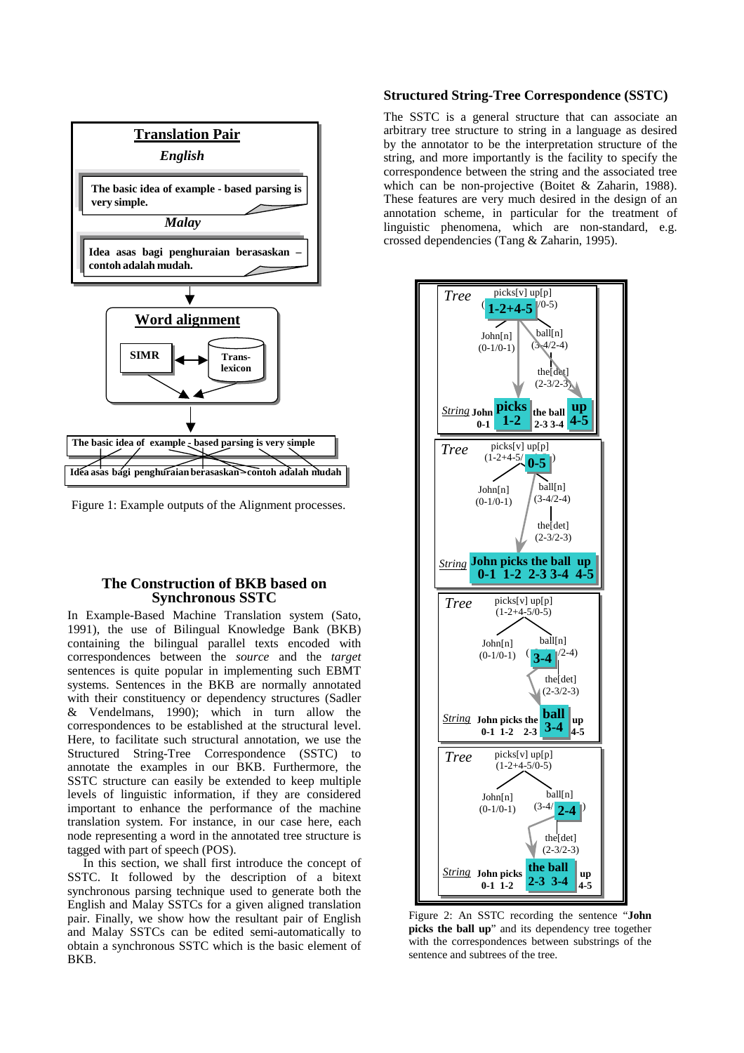

Figure 1: Example outputs of the Alignment processes.

## **The Construction of BKB based on Synchronous SSTC**

In Example-Based Machine Translation system (Sato, 1991), the use of Bilingual Knowledge Bank (BKB) containing the bilingual parallel texts encoded with correspondences between the *source* and the *target* sentences is quite popular in implementing such EBMT systems. Sentences in the BKB are normally annotated with their constituency or dependency structures (Sadler & Vendelmans, 1990); which in turn allow the correspondences to be established at the structural level. Here, to facilitate such structural annotation, we use the Structured String-Tree Correspondence (SSTC) to annotate the examples in our BKB. Furthermore, the SSTC structure can easily be extended to keep multiple levels of linguistic information, if they are considered important to enhance the performance of the machine translation system. For instance, in our case here, each node representing a word in the annotated tree structure is tagged with part of speech (POS).

 In this section, we shall first introduce the concept of SSTC. It followed by the description of a bitext synchronous parsing technique used to generate both the English and Malay SSTCs for a given aligned translation pair. Finally, we show how the resultant pair of English and Malay SSTCs can be edited semi-automatically to obtain a synchronous SSTC which is the basic element of BKB.

## **Structured String-Tree Correspondence (SSTC)**

The SSTC is a general structure that can associate an arbitrary tree structure to string in a language as desired by the annotator to be the interpretation structure of the string, and more importantly is the facility to specify the correspondence between the string and the associated tree which can be non-projective (Boitet & Zaharin, 1988). These features are very much desired in the design of an annotation scheme, in particular for the treatment of linguistic phenomena, which are non-standard, e.g. crossed dependencies (Tang & Zaharin, 1995).



Figure 2: An SSTC recording the sentence "**John picks the ball up**" and its dependency tree together with the correspondences between substrings of the sentence and subtrees of the tree.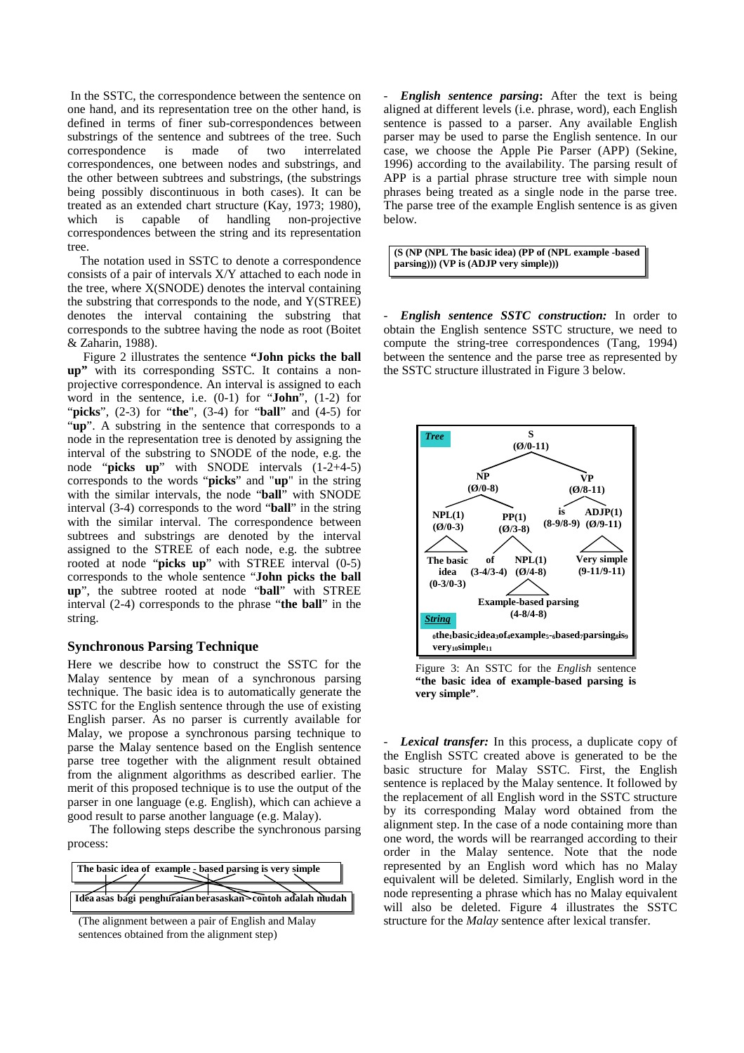In the SSTC, the correspondence between the sentence on one hand, and its representation tree on the other hand, is defined in terms of finer sub-correspondences between substrings of the sentence and subtrees of the tree. Such correspondence is made of two interrelated correspondences, one between nodes and substrings, and the other between subtrees and substrings, (the substrings being possibly discontinuous in both cases). It can be treated as an extended chart structure (Kay, 1973; 1980), which is capable of handling non-projective correspondences between the string and its representation tree.

 The notation used in SSTC to denote a correspondence consists of a pair of intervals X/Y attached to each node in the tree, where X(SNODE) denotes the interval containing the substring that corresponds to the node, and Y(STREE) denotes the interval containing the substring that corresponds to the subtree having the node as root (Boitet & Zaharin, 1988).

 Figure 2 illustrates the sentence **"John picks the ball up"** with its corresponding SSTC. It contains a nonprojective correspondence. An interval is assigned to each word in the sentence, i.e. (0-1) for "**John**", (1-2) for "**picks**", (2-3) for "**the**", (3-4) for "**ball**" and (4-5) for "**up**". A substring in the sentence that corresponds to a node in the representation tree is denoted by assigning the interval of the substring to SNODE of the node, e.g. the node "**picks up**" with SNODE intervals (1-2+4-5) corresponds to the words "**picks**" and "**up**" in the string with the similar intervals, the node "**ball**" with SNODE interval (3-4) corresponds to the word "**ball**" in the string with the similar interval. The correspondence between subtrees and substrings are denoted by the interval assigned to the STREE of each node, e.g. the subtree rooted at node "**picks up**" with STREE interval (0-5) corresponds to the whole sentence "**John picks the ball up**", the subtree rooted at node "**ball**" with STREE interval (2-4) corresponds to the phrase "**the ball**" in the string.

### **Synchronous Parsing Technique**

Here we describe how to construct the SSTC for the Malay sentence by mean of a synchronous parsing technique. The basic idea is to automatically generate the SSTC for the English sentence through the use of existing English parser. As no parser is currently available for Malay, we propose a synchronous parsing technique to parse the Malay sentence based on the English sentence parse tree together with the alignment result obtained from the alignment algorithms as described earlier. The merit of this proposed technique is to use the output of the parser in one language (e.g. English), which can achieve a good result to parse another language (e.g. Malay).

 The following steps describe the synchronous parsing process:

| The basic idea of example - based parsing is very simple  |  |  |  |  |
|-----------------------------------------------------------|--|--|--|--|
|                                                           |  |  |  |  |
| Idéa asas bagi penghuraian berasaskan sontoh adalah mudah |  |  |  |  |

(The alignment between a pair of English and Malay sentences obtained from the alignment step)

*English sentence parsing*: After the text is being aligned at different levels (i.e. phrase, word), each English sentence is passed to a parser. Any available English parser may be used to parse the English sentence. In our case, we choose the Apple Pie Parser (APP) (Sekine, 1996) according to the availability. The parsing result of APP is a partial phrase structure tree with simple noun phrases being treated as a single node in the parse tree. The parse tree of the example English sentence is as given below.

**(S (NP (NPL The basic idea) (PP of (NPL example -based parsing))) (VP is (ADJP very simple)))** 

- *English sentence SSTC construction:* In order to obtain the English sentence SSTC structure, we need to compute the string-tree correspondences (Tang, 1994) between the sentence and the parse tree as represented by the SSTC structure illustrated in Figure 3 below.



Figure 3: An SSTC for the *English* sentence **"the basic idea of example-based parsing is very simple"**.

*Lexical transfer:* In this process, a duplicate copy of the English SSTC created above is generated to be the basic structure for Malay SSTC. First, the English sentence is replaced by the Malay sentence. It followed by the replacement of all English word in the SSTC structure by its corresponding Malay word obtained from the alignment step. In the case of a node containing more than one word, the words will be rearranged according to their order in the Malay sentence. Note that the node represented by an English word which has no Malay equivalent will be deleted. Similarly, English word in the node representing a phrase which has no Malay equivalent will also be deleted. Figure 4 illustrates the SSTC structure for the *Malay* sentence after lexical transfer.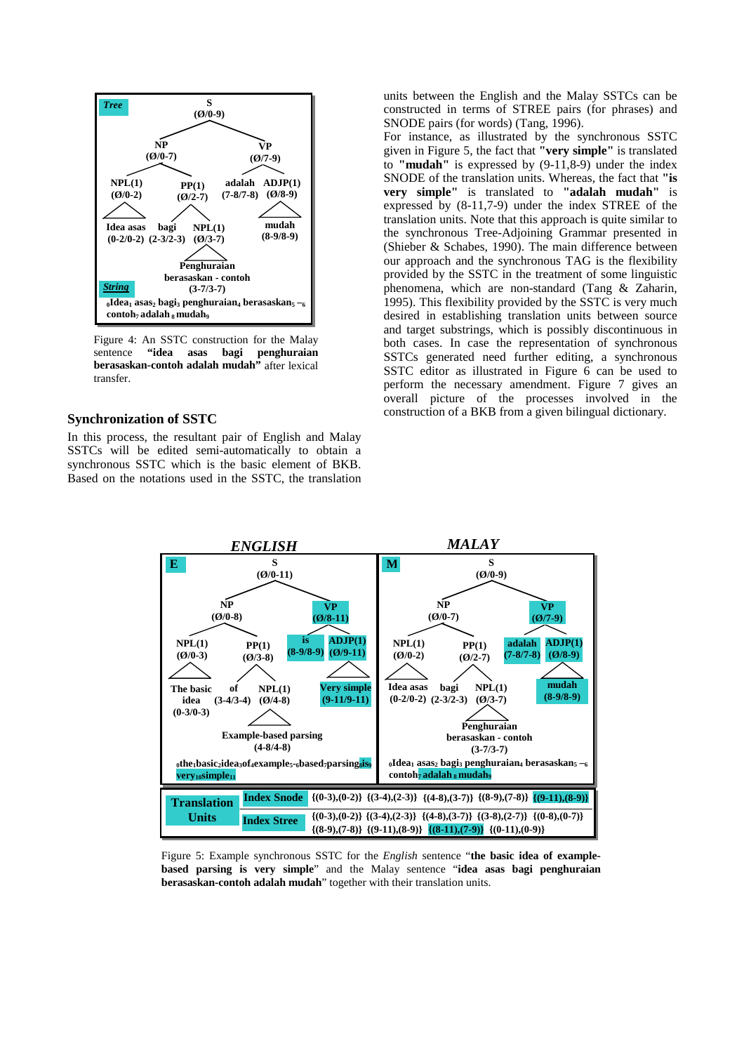

Figure 4: An SSTC construction for the Malay sentence **"idea asas bagi penghuraian berasaskan-contoh adalah mudah"** after lexical transfer.

#### **Synchronization of SSTC**

In this process, the resultant pair of English and Malay SSTCs will be edited semi-automatically to obtain a synchronous SSTC which is the basic element of BKB. Based on the notations used in the SSTC, the translation

units between the English and the Malay SSTCs can be constructed in terms of STREE pairs (for phrases) and SNODE pairs (for words) (Tang, 1996).

For instance, as illustrated by the synchronous SSTC given in Figure 5, the fact that **"very simple"** is translated to **"mudah"** is expressed by (9-11,8-9) under the index SNODE of the translation units. Whereas, the fact that **"is very simple"** is translated to **"adalah mudah"** is expressed by (8-11,7-9) under the index STREE of the translation units. Note that this approach is quite similar to the synchronous Tree-Adjoining Grammar presented in (Shieber & Schabes, 1990). The main difference between our approach and the synchronous TAG is the flexibility provided by the SSTC in the treatment of some linguistic phenomena, which are non-standard (Tang & Zaharin, 1995). This flexibility provided by the SSTC is very much desired in establishing translation units between source and target substrings, which is possibly discontinuous in both cases. In case the representation of synchronous SSTCs generated need further editing, a synchronous SSTC editor as illustrated in Figure 6 can be used to perform the necessary amendment. Figure 7 gives an overall picture of the processes involved in the construction of a BKB from a given bilingual dictionary.



Figure 5: Example synchronous SSTC for the *English* sentence "**the basic idea of examplebased parsing is very simple**" and the Malay sentence "**idea asas bagi penghuraian berasaskan-contoh adalah mudah**" together with their translation units.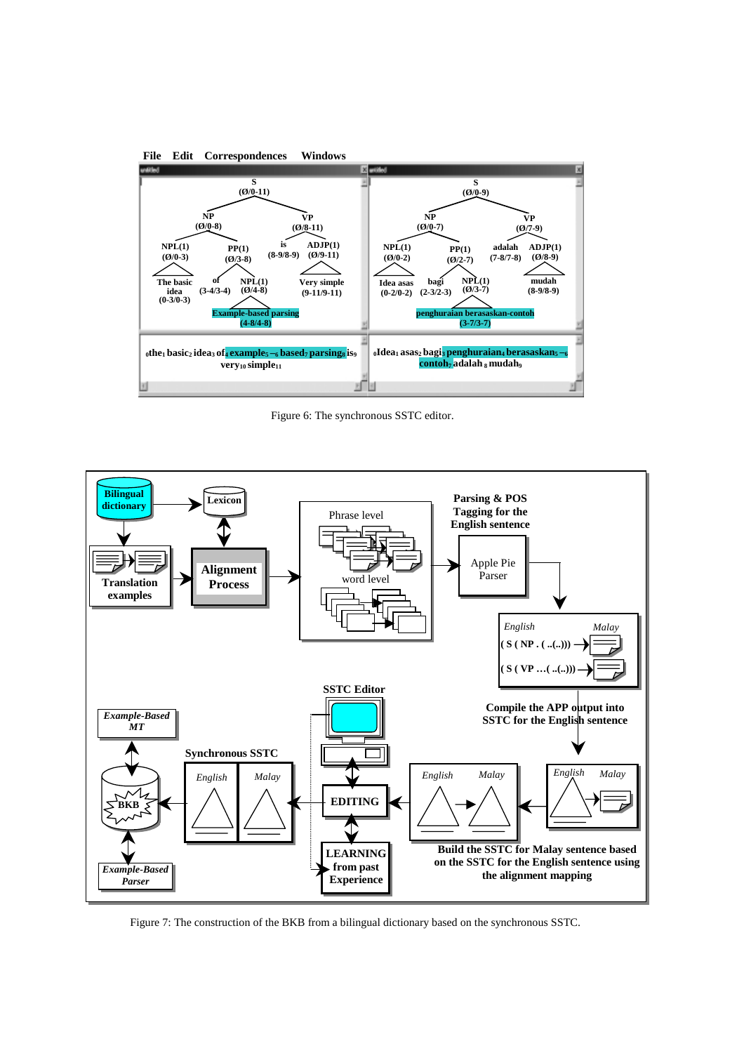

Figure 6: The synchronous SSTC editor.



Figure 7: The construction of the BKB from a bilingual dictionary based on the synchronous SSTC.